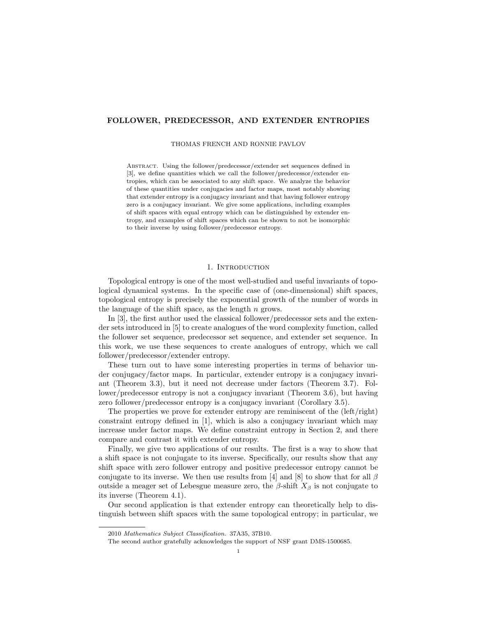# FOLLOWER, PREDECESSOR, AND EXTENDER ENTROPIES

#### THOMAS FRENCH AND RONNIE PAVLOV

Abstract. Using the follower/predecessor/extender set sequences defined in [3], we define quantities which we call the follower/predecessor/extender entropies, which can be associated to any shift space. We analyze the behavior of these quantities under conjugacies and factor maps, most notably showing that extender entropy is a conjugacy invariant and that having follower entropy zero is a conjugacy invariant. We give some applications, including examples of shift spaces with equal entropy which can be distinguished by extender entropy, and examples of shift spaces which can be shown to not be isomorphic to their inverse by using follower/predecessor entropy.

### 1. Introduction

Topological entropy is one of the most well-studied and useful invariants of topological dynamical systems. In the specific case of (one-dimensional) shift spaces, topological entropy is precisely the exponential growth of the number of words in the language of the shift space, as the length  $n$  grows.

In [3], the first author used the classical follower/predecessor sets and the extender sets introduced in [5] to create analogues of the word complexity function, called the follower set sequence, predecessor set sequence, and extender set sequence. In this work, we use these sequences to create analogues of entropy, which we call follower/predecessor/extender entropy.

These turn out to have some interesting properties in terms of behavior under conjugacy/factor maps. In particular, extender entropy is a conjugacy invariant (Theorem 3.3), but it need not decrease under factors (Theorem 3.7). Follower/predecessor entropy is not a conjugacy invariant (Theorem 3.6), but having zero follower/predecessor entropy is a conjugacy invariant (Corollary 3.5).

The properties we prove for extender entropy are reminiscent of the (left/right) constraint entropy defined in [1], which is also a conjugacy invariant which may increase under factor maps. We define constraint entropy in Section 2, and there compare and contrast it with extender entropy.

Finally, we give two applications of our results. The first is a way to show that a shift space is not conjugate to its inverse. Specifically, our results show that any shift space with zero follower entropy and positive predecessor entropy cannot be conjugate to its inverse. We then use results from [4] and [8] to show that for all  $\beta$ outside a meager set of Lebesgue measure zero, the  $\beta$ -shift  $X_{\beta}$  is not conjugate to its inverse (Theorem 4.1).

Our second application is that extender entropy can theoretically help to distinguish between shift spaces with the same topological entropy; in particular, we

<sup>2010</sup> Mathematics Subject Classification. 37A35, 37B10.

The second author gratefully acknowledges the support of NSF grant DMS-1500685.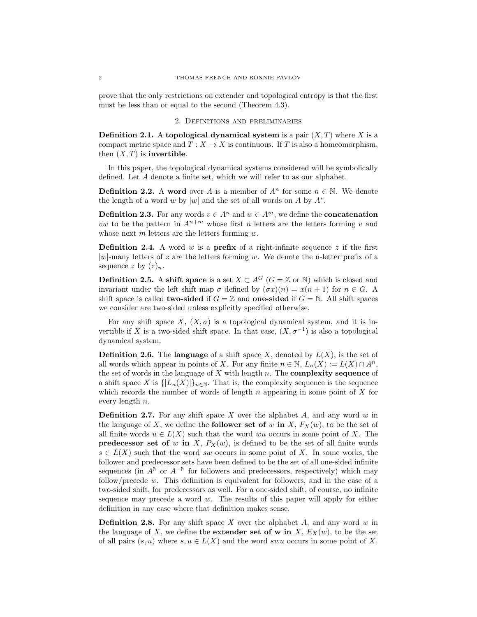prove that the only restrictions on extender and topological entropy is that the first must be less than or equal to the second (Theorem 4.3).

## 2. Definitions and preliminaries

**Definition 2.1.** A topological dynamical system is a pair  $(X, T)$  where X is a compact metric space and  $T : X \to X$  is continuous. If T is also a homeomorphism, then  $(X, T)$  is **invertible**.

In this paper, the topological dynamical systems considered will be symbolically defined. Let A denote a finite set, which we will refer to as our alphabet.

**Definition 2.2.** A word over A is a member of  $A^n$  for some  $n \in \mathbb{N}$ . We denote the length of a word w by |w| and the set of all words on  $A$  by  $A^*$ .

**Definition 2.3.** For any words  $v \in A^n$  and  $w \in A^m$ , we define the **concatenation** vw to be the pattern in  $A^{n+m}$  whose first n letters are the letters forming v and whose next  $m$  letters are the letters forming  $w$ .

**Definition 2.4.** A word w is a **prefix** of a right-infinite sequence z if the first  $|w|$ -many letters of z are the letters forming w. We denote the n-letter prefix of a sequence z by  $(z)_n$ .

**Definition 2.5.** A shift space is a set  $X \subset A^G$  ( $G = \mathbb{Z}$  or N) which is closed and invariant under the left shift map  $\sigma$  defined by  $(\sigma x)(n) = x(n+1)$  for  $n \in G$ . A shift space is called two-sided if  $G = \mathbb{Z}$  and one-sided if  $G = \mathbb{N}$ . All shift spaces we consider are two-sided unless explicitly specified otherwise.

For any shift space X,  $(X, \sigma)$  is a topological dynamical system, and it is invertible if X is a two-sided shift space. In that case,  $(X, \sigma^{-1})$  is also a topological dynamical system.

**Definition 2.6.** The language of a shift space X, denoted by  $L(X)$ , is the set of all words which appear in points of X. For any finite  $n \in \mathbb{N}$ ,  $L_n(X) := L(X) \cap A^n$ , the set of words in the language of  $X$  with length  $n$ . The **complexity sequence** of a shift space X is  $\{|L_n(X)|\}_{n\in\mathbb{N}}$ . That is, the complexity sequence is the sequence which records the number of words of length  $n$  appearing in some point of  $X$  for every length n.

**Definition 2.7.** For any shift space  $X$  over the alphabet  $A$ , and any word  $w$  in the language of X, we define the **follower set of** w in X,  $F_X(w)$ , to be the set of all finite words  $u \in L(X)$  such that the word wu occurs in some point of X. The **predecessor set of** w in X,  $P_X(w)$ , is defined to be the set of all finite words  $s \in L(X)$  such that the word sw occurs in some point of X. In some works, the follower and predecessor sets have been defined to be the set of all one-sided infinite sequences (in  $A^{\mathbb{N}}$  or  $A^{-\mathbb{N}}$  for followers and predecessors, respectively) which may follow/precede  $w$ . This definition is equivalent for followers, and in the case of a two-sided shift, for predecessors as well. For a one-sided shift, of course, no infinite sequence may precede a word  $w$ . The results of this paper will apply for either definition in any case where that definition makes sense.

**Definition 2.8.** For any shift space  $X$  over the alphabet  $A$ , and any word  $w$  in the language of X, we define the **extender set of w in** X,  $E_X(w)$ , to be the set of all pairs  $(s, u)$  where  $s, u \in L(X)$  and the word swu occurs in some point of X.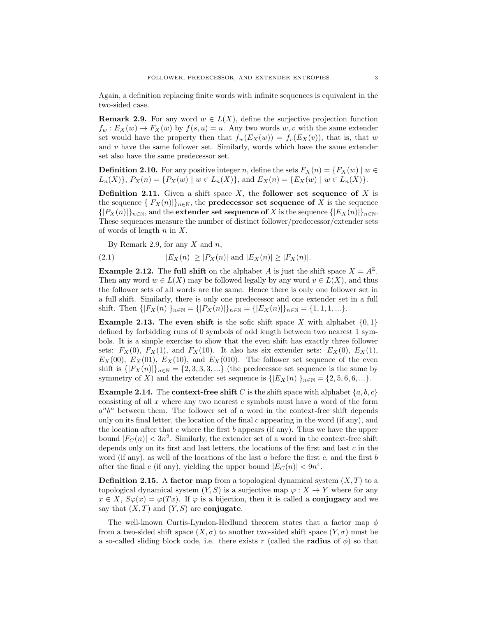Again, a definition replacing finite words with infinite sequences is equivalent in the two-sided case.

**Remark 2.9.** For any word  $w \in L(X)$ , define the surjective projection function  $f_w: E_X(w) \to F_X(w)$  by  $f(s, u) = u$ . Any two words w, v with the same extender set would have the property then that  $f_w(E_X(w)) = f_v(E_X(v))$ , that is, that w and  $v$  have the same follower set. Similarly, words which have the same extender set also have the same predecessor set.

**Definition 2.10.** For any positive integer n, define the sets  $F_X(n) = \{F_X(w) \mid w \in$  $L_n(X)$ ,  $P_X(n) = \{P_X(w) \mid w \in L_n(X)\}$ , and  $E_X(n) = \{E_X(w) \mid w \in L_n(X)\}$ .

**Definition 2.11.** Given a shift space  $X$ , the follower set sequence of  $X$  is the sequence  $\{ |F_X(n)| \}_{n \in \mathbb{N}}$ , the **predecessor set sequence of** X is the sequence  $\{|P_X(n)|\}_{n\in\mathbb{N}}$ , and the extender set sequence of X is the sequence  $\{|E_X(n)|\}_{n\in\mathbb{N}}$ . These sequences measure the number of distinct follower/predecessor/extender sets of words of length  $n$  in  $X$ .

By Remark 2.9, for any  $X$  and  $n$ ,

(2.1) 
$$
|E_X(n)| \ge |P_X(n)|
$$
 and  $|E_X(n)| \ge |F_X(n)|$ .

**Example 2.12.** The full shift on the alphabet A is just the shift space  $X = A^{\mathbb{Z}}$ . Then any word  $w \in L(X)$  may be followed legally by any word  $v \in L(X)$ , and thus the follower sets of all words are the same. Hence there is only one follower set in a full shift. Similarly, there is only one predecessor and one extender set in a full shift. Then  $\{|F_X(n)|\}_{n\in\mathbb{N}} = \{|P_X(n)|\}_{n\in\mathbb{N}} = \{|E_X(n)|\}_{n\in\mathbb{N}} = \{1, 1, 1, ...\}.$ 

**Example 2.13.** The even shift is the sofic shift space X with alphabet  $\{0, 1\}$ defined by forbidding runs of 0 symbols of odd length between two nearest 1 symbols. It is a simple exercise to show that the even shift has exactly three follower sets:  $F_X(0)$ ,  $F_X(1)$ , and  $F_X(10)$ . It also has six extender sets:  $E_X(0)$ ,  $E_X(1)$ ,  $E_X(00)$ ,  $E_X(01)$ ,  $E_X(10)$ , and  $E_X(010)$ . The follower set sequence of the even shift is  $\{ |F_X(n)| \}_{n \in \mathbb{N}} = \{2, 3, 3, 3, ...\}$  (the predecessor set sequence is the same by symmetry of X) and the extender set sequence is  $\{|E_X(n)|\}_{n\in\mathbb{N}} = \{2, 5, 6, 6, ...\}.$ 

**Example 2.14.** The **context-free shift** C is the shift space with alphabet  $\{a, b, c\}$ consisting of all  $x$  where any two nearest  $c$  symbols must have a word of the form  $a^n b^n$  between them. The follower set of a word in the context-free shift depends only on its final letter, the location of the final c appearing in the word (if any), and the location after that c where the first  $b$  appears (if any). Thus we have the upper bound  $|F_C(n)| < 3n^2$ . Similarly, the extender set of a word in the context-free shift depends only on its first and last letters, the locations of the first and last  $c$  in the word (if any), as well of the locations of the last  $a$  before the first  $c$ , and the first  $b$ after the final c (if any), yielding the upper bound  $|E_C(n)| < 9n^4$ .

**Definition 2.15.** A factor map from a topological dynamical system  $(X, T)$  to a topological dynamical system  $(Y, S)$  is a surjective map  $\varphi: X \to Y$  where for any  $x \in X$ ,  $S\varphi(x) = \varphi(Tx)$ . If  $\varphi$  is a bijection, then it is called a **conjugacy** and we say that  $(X, T)$  and  $(Y, S)$  are **conjugate**.

The well-known Curtis-Lyndon-Hedlund theorem states that a factor map  $\phi$ from a two-sided shift space  $(X, \sigma)$  to another two-sided shift space  $(Y, \sigma)$  must be a so-called sliding block code, i.e. there exists r (called the **radius** of  $\phi$ ) so that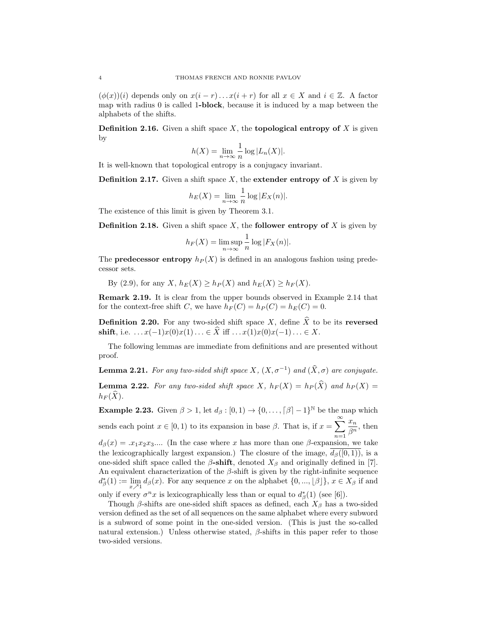$(\phi(x))(i)$  depends only on  $x(i - r) \dots x(i + r)$  for all  $x \in X$  and  $i \in \mathbb{Z}$ . A factor map with radius  $\theta$  is called 1-block, because it is induced by a map between the alphabets of the shifts.

**Definition 2.16.** Given a shift space X, the **topological entropy of** X is given by

$$
h(X) = \lim_{n \to \infty} \frac{1}{n} \log |L_n(X)|.
$$

It is well-known that topological entropy is a conjugacy invariant.

**Definition 2.17.** Given a shift space  $X$ , the **extender entropy of**  $X$  is given by

$$
h_E(X) = \lim_{n \to \infty} \frac{1}{n} \log |E_X(n)|.
$$

The existence of this limit is given by Theorem 3.1.

**Definition 2.18.** Given a shift space X, the **follower entropy of** X is given by

$$
h_F(X) = \limsup_{n \to \infty} \frac{1}{n} \log |F_X(n)|.
$$

The **predecessor entropy**  $h_P(X)$  is defined in an analogous fashion using predecessor sets.

By (2.9), for any X,  $h_E(X) \geq h_P(X)$  and  $h_E(X) \geq h_F(X)$ .

Remark 2.19. It is clear from the upper bounds observed in Example 2.14 that for the context-free shift C, we have  $h_F(C) = h_P(C) = h_E(C) = 0$ .

**Definition 2.20.** For any two-sided shift space X, define  $\hat{X}$  to be its reversed shift, i.e.  $\dots x(-1)x(0)x(1)\dots \in \widehat{X}$  iff  $\dots x(1)x(0)x(-1)\dots \in X$ .

The following lemmas are immediate from definitions and are presented without proof.

**Lemma 2.21.** For any two-sided shift space  $X$ ,  $(X, \sigma^{-1})$  and  $(\widehat{X}, \sigma)$  are conjugate.

**Lemma 2.22.** For any two-sided shift space X,  $h_F(X) = h_P(\widehat{X})$  and  $h_P(X) =$  $h_F(\widehat{X})$ .

**Example 2.23.** Given  $\beta > 1$ , let  $d_{\beta} : [0, 1) \rightarrow \{0, \ldots, \lceil \beta \rceil - 1\}^{\mathbb{N}}$  be the map which sends each point  $x \in [0, 1)$  to its expansion in base  $\beta$ . That is, if  $x = \sum_{n=1}^{\infty}$  $n=1$  $\bar{x}_n$  $\frac{\omega_n}{\beta^n}$ , then  $d_{\beta}(x) = x_1 x_2 x_3 \dots$  (In the case where x has more than one  $\beta$ -expansion, we take the lexicographically largest expansion.) The closure of the image,  $d_{\beta}([0,1))$ , is a one-sided shift space called the  $\beta$ -shift, denoted  $X_{\beta}$  and originally defined in [7]. An equivalent characterization of the  $\beta$ -shift is given by the right-infinite sequence  $d^*_{\beta}(1) := \lim_{x \nearrow 1} d_{\beta}(x)$ . For any sequence x on the alphabet  $\{0, ..., \lfloor \beta \rfloor\}, x \in X_{\beta}$  if and only if every  $\sigma^n x$  is lexicographically less than or equal to  $d^*_{\beta}(1)$  (see [6]).

Though  $\beta$ -shifts are one-sided shift spaces as defined, each  $X_{\beta}$  has a two-sided version defined as the set of all sequences on the same alphabet where every subword is a subword of some point in the one-sided version. (This is just the so-called natural extension.) Unless otherwise stated,  $\beta$ -shifts in this paper refer to those two-sided versions.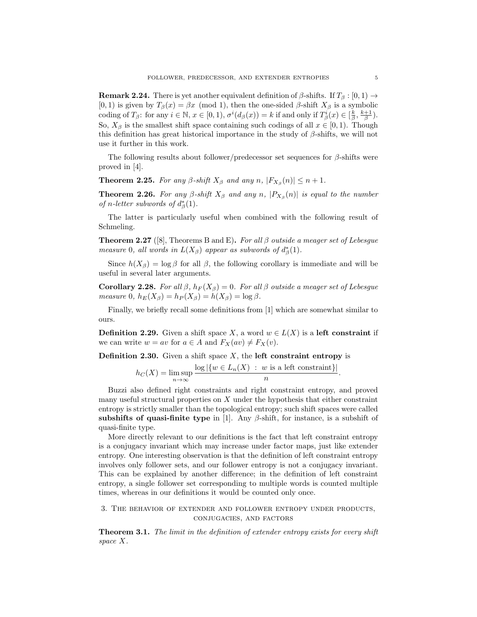**Remark 2.24.** There is yet another equivalent definition of  $\beta$ -shifts. If  $T_\beta : [0, 1) \rightarrow$ [0, 1] is given by  $T_\beta(x) = \beta x \pmod{1}$ , then the one-sided  $\beta$ -shift  $X_\beta$  is a symbolic coding of  $T_\beta$ : for any  $i \in \mathbb{N}$ ,  $x \in [0, 1)$ ,  $\sigma^i(d_\beta(x)) = k$  if and only if  $T_\beta^i(x) \in \left[\frac{k}{\beta}, \frac{k+1}{\beta}\right)$ . So,  $X_{\beta}$  is the smallest shift space containing such codings of all  $x \in [0, 1)$ . Though this definition has great historical importance in the study of  $\beta$ -shifts, we will not use it further in this work.

The following results about follower/predecessor set sequences for  $\beta$ -shifts were proved in [4].

**Theorem 2.25.** For any  $\beta$ -shift  $X_{\beta}$  and any  $n$ ,  $|F_{X_{\beta}}(n)| \leq n+1$ .

**Theorem 2.26.** For any  $\beta$ -shift  $X_{\beta}$  and any n,  $|P_{X_{\beta}}(n)|$  is equal to the number of n-letter subwords of  $d^*_{\beta}(1)$ .

The latter is particularly useful when combined with the following result of Schmeling.

**Theorem 2.27** ([8], Theorems B and E). For all  $\beta$  outside a meager set of Lebesgue measure 0, all words in  $L(X_\beta)$  appear as subwords of  $d^*_\beta(1)$ .

Since  $h(X_\beta) = \log \beta$  for all  $\beta$ , the following corollary is immediate and will be useful in several later arguments.

Corollary 2.28. For all  $\beta$ ,  $h_F(X_{\beta}) = 0$ . For all  $\beta$  outside a meager set of Lebesgue measure 0,  $h_E(X_\beta) = h_P(X_\beta) = h(X_\beta) = \log \beta$ .

Finally, we briefly recall some definitions from [1] which are somewhat similar to ours.

**Definition 2.29.** Given a shift space X, a word  $w \in L(X)$  is a left constraint if we can write  $w = av$  for  $a \in A$  and  $F_X(av) \neq F_X(v)$ .

**Definition 2.30.** Given a shift space  $X$ , the **left constraint entropy** is

$$
h_C(X) = \limsup_{n \to \infty} \frac{\log |\{w \in L_n(X) : w \text{ is a left constraint}\}|}{n}.
$$

Buzzi also defined right constraints and right constraint entropy, and proved many useful structural properties on  $X$  under the hypothesis that either constraint entropy is strictly smaller than the topological entropy; such shift spaces were called subshifts of quasi-finite type in [1]. Any  $\beta$ -shift, for instance, is a subshift of quasi-finite type.

More directly relevant to our definitions is the fact that left constraint entropy is a conjugacy invariant which may increase under factor maps, just like extender entropy. One interesting observation is that the definition of left constraint entropy involves only follower sets, and our follower entropy is not a conjugacy invariant. This can be explained by another difference; in the definition of left constraint entropy, a single follower set corresponding to multiple words is counted multiple times, whereas in our definitions it would be counted only once.

# 3. The behavior of extender and follower entropy under products, conjugacies, and factors

**Theorem 3.1.** The limit in the definition of extender entropy exists for every shift space X.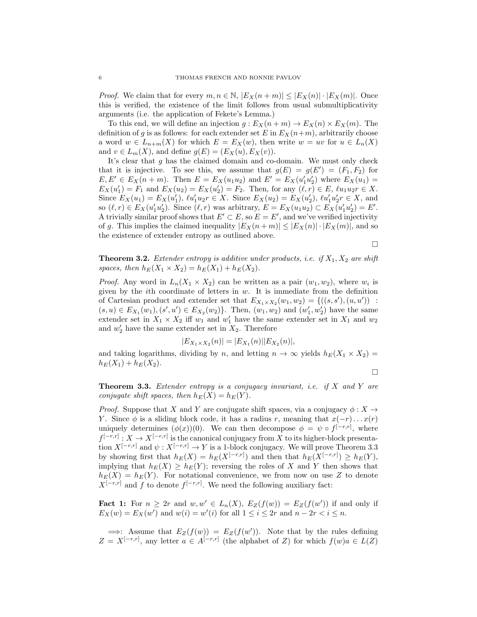*Proof.* We claim that for every  $m, n \in \mathbb{N}$ ,  $|E_X(n+m)| \leq |E_X(n)| \cdot |E_X(m)|$ . Once this is verified, the existence of the limit follows from usual submultiplicativity arguments (i.e. the application of Fekete's Lemma.)

To this end, we will define an injection  $g: E_X(n+m) \to E_X(n) \times E_X(m)$ . The definition of g is as follows: for each extender set E in  $E_X(n+m)$ , arbitrarily choose a word  $w \in L_{n+m}(X)$  for which  $E = E_X(w)$ , then write  $w = uv$  for  $u \in L_n(X)$ and  $v \in L_m(X)$ , and define  $g(E) = (E_X(u), E_X(v))$ .

It's clear that g has the claimed domain and co-domain. We must only check that it is injective. To see this, we assume that  $g(E) = g(E') = (F_1, F_2)$  for  $E, E' \in E_X(n+m)$ . Then  $E = E_X(u_1u_2)$  and  $E' = E_X(u'_1u'_2)$  where  $E_X(u_1) =$  $E_X(u_1') = F_1$  and  $E_X(u_2) = E_X(u_2') = F_2$ . Then, for any  $(\ell, r) \in E$ ,  $\ell u_1 u_2 r \in X$ . Since  $E_X(u_1) = E_X(u_1'), \, \ell u_1' u_2 r \in X.$  Since  $E_X(u_2) = E_X(u_2'), \, \ell u_1' u_2' r \in X,$  and so  $(\ell, r) \in E_X(u'_1u'_2)$ . Since  $(\ell, r)$  was arbitrary,  $E = E_X(u_1u_2) \subset E_X(u'_1u'_2) = E'$ . A trivially similar proof shows that  $E' \subset E$ , so  $E = E'$ , and we've verified injectivity of g. This implies the claimed inequality  $|E_X(n+m)| \leq |E_X(n)| \cdot |E_X(m)|$ , and so the existence of extender entropy as outlined above.

 $\Box$ 

**Theorem 3.2.** Extender entropy is additive under products, i.e. if  $X_1, X_2$  are shift spaces, then  $h_E(X_1 \times X_2) = h_E(X_1) + h_E(X_2)$ .

*Proof.* Any word in  $L_n(X_1 \times X_2)$  can be written as a pair  $(w_1, w_2)$ , where  $w_i$  is given by the *i*th coordinate of letters in  $w$ . It is immediate from the definition of Cartesian product and extender set that  $E_{X_1 \times X_2}(w_1, w_2) = \{((s, s'), (u, u'))$ :  $(s, u) \in E_{X_1}(w_1), (s', u') \in E_{X_2}(w_2)$ . Then,  $(w_1, w_2)$  and  $(w'_1, w'_2)$  have the same extender set in  $X_1 \times X_2$  iff  $w_1$  and  $w'_1$  have the same extender set in  $X_1$  and  $w_2$ and  $w'_2$  have the same extender set in  $X_2$ . Therefore

$$
|E_{X_1 \times X_2}(n)| = |E_{X_1}(n)||E_{X_2}(n)|,
$$

and taking logarithms, dividing by n, and letting  $n \to \infty$  yields  $h_E(X_1 \times X_2) =$  $h_E(X_1) + h_E(X_2)$ .

 $\Box$ 

**Theorem 3.3.** Extender entropy is a conjugacy invariant, i.e. if  $X$  and  $Y$  are conjugate shift spaces, then  $h_E(X) = h_E(Y)$ .

*Proof.* Suppose that X and Y are conjugate shift spaces, via a conjugacy  $\phi: X \to Y$ Y. Since  $\phi$  is a sliding block code, it has a radius r, meaning that  $x(-r) \dots x(r)$ uniquely determines  $(\phi(x))(0)$ . We can then decompose  $\phi = \psi \circ f^{[-r,r]}$ , where  $f^{[-r,r]}: X \to X^{[-r,r]}$  is the canonical conjugacy from X to its higher-block presentation  $X^{[-r,r]}$  and  $\psi: X^{[-r,r]} \to Y$  is a 1-block conjugacy. We will prove Theorem 3.3 by showing first that  $h_E(X) = h_E(X^{[-r,r]})$  and then that  $h_E(X^{[-r,r]}) \ge h_E(Y)$ , implying that  $h_E(X) \geq h_E(Y)$ ; reversing the roles of X and Y then shows that  $h_E(X) = h_E(Y)$ . For notational convenience, we from now on use Z to denote  $X^{[-r,r]}$  and f to denote  $f^{[-r,r]}$ . We need the following auxiliary fact:

**Fact 1:** For  $n \geq 2r$  and  $w, w' \in L_n(X)$ ,  $E_Z(f(w)) = E_Z(f(w'))$  if and only if  $E_X(w) = E_X(w')$  and  $w(i) = w'(i)$  for all  $1 \leq i \leq 2r$  and  $n - 2r < i \leq n$ .

 $\implies$ : Assume that  $E_Z(f(w)) = E_Z(f(w'))$ . Note that by the rules defining  $Z = X^{[-r,r]}$ , any letter  $a \in A^{[-r,r]}$  (the alphabet of Z) for which  $f(w)a \in L(Z)$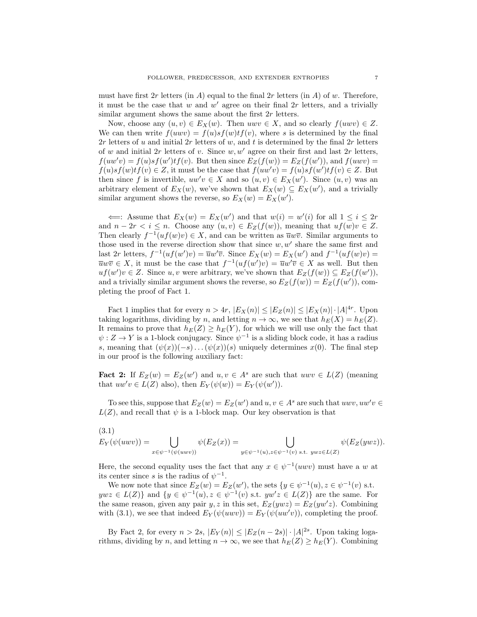must have first  $2r$  letters (in A) equal to the final  $2r$  letters (in A) of w. Therefore, it must be the case that  $w$  and  $w'$  agree on their final  $2r$  letters, and a trivially similar argument shows the same about the first  $2r$  letters.

Now, choose any  $(u, v) \in E_X(w)$ . Then  $uvw \in X$ , and so clearly  $f(uwv) \in Z$ . We can then write  $f(uwv) = f(u)sf(v)t f(v)$ , where s is determined by the final 2r letters of u and initial 2r letters of w, and t is determined by the final  $2r$  letters of w and initial 2r letters of v. Since  $w, w'$  agree on their first and last 2r letters,  $f(uw'v) = f(u)sf(w')tf(v)$ . But then since  $E_Z(f(w)) = E_Z(f(w'))$ , and  $f(uwv) =$  $f(u)sf(w)tf(v) \in Z$ , it must be the case that  $f(uw'v) = f(u)sf(w')tf(v) \in Z$ . But then since f is invertible,  $uw'v \in X$  and so  $(u, v) \in E_X(w')$ . Since  $(u, v)$  was an arbitrary element of  $E_X(w)$ , we've shown that  $E_X(w) \subseteq E_X(w')$ , and a trivially similar argument shows the reverse, so  $E_X(w) = E_X(w')$ .

 $\iff$ : Assume that  $E_X(w) = E_X(w')$  and that  $w(i) = w'(i)$  for all  $1 \leq i \leq 2r$ and  $n - 2r < i \leq n$ . Choose any  $(u, v) \in E_Z(f(w))$ , meaning that  $uf(w)v \in Z$ . Then clearly  $f^{-1}(uf(w)v) \in X$ , and can be written as  $\overline{u}w\overline{v}$ . Similar arguments to those used in the reverse direction show that since  $w, w'$  share the same first and last  $2r$  letters,  $f^{-1}(uf(w')v) = \overline{u}w'\overline{v}$ . Since  $E_X(w) = E_X(w')$  and  $f^{-1}(uf(w)v) =$  $\overline{u}w\overline{v} \in X$ , it must be the case that  $f^{-1}(uf(w')v) = \overline{u}w'\overline{v} \in X$  as well. But then  $uf(w')v ∈ Z$ . Since u, v were arbitrary, we've shown that  $E_Z(f(w)) ⊆ E_Z(f(w'))$ , and a trivially similar argument shows the reverse, so  $E_Z(f(w)) = E_Z(f(w'))$ , completing the proof of Fact 1.

Fact 1 implies that for every  $n > 4r$ ,  $|E_X(n)| \leq |E_Z(n)| \leq |E_X(n)| \cdot |A|^{4r}$ . Upon taking logarithms, dividing by n, and letting  $n \to \infty$ , we see that  $h_E(X) = h_E(Z)$ . It remains to prove that  $h_E(Z) \geq h_E(Y)$ , for which we will use only the fact that  $\psi: Z \to Y$  is a 1-block conjugacy. Since  $\psi^{-1}$  is a sliding block code, it has a radius s, meaning that  $(\psi(x))(-s) \dots (\psi(x))(s)$  uniquely determines  $x(0)$ . The final step in our proof is the following auxiliary fact:

**Fact 2:** If  $E_Z(w) = E_Z(w')$  and  $u, v \in A^s$  are such that  $uvw \in L(Z)$  (meaning that  $uw'v \in L(Z)$  also), then  $E_Y(\psi(w)) = E_Y(\psi(w'))$ .

To see this, suppose that  $E_Z(w) = E_Z(w')$  and  $u, v \in A^s$  are such that  $uwv, uw'v \in A^s$  $L(Z)$ , and recall that  $\psi$  is a 1-block map. Our key observation is that

(3.1)  

$$
E_Y(\psi(uwv)) = \bigcup_{x \in \psi^{-1}(\psi(uwv))} \psi(E_Z(x)) = \bigcup_{y \in \psi^{-1}(u), z \in \psi^{-1}(v) \text{ s.t. } ywz \in L(Z)} \psi(E_Z(ywz)).
$$

Here, the second equality uses the fact that any  $x \in \psi^{-1}(uvw)$  must have a w at its center since s is the radius of  $\psi^{-1}$ .

We now note that since  $E_Z(w) = E_Z(w')$ , the sets  $\{y \in \psi^{-1}(u), z \in \psi^{-1}(v) \text{ s.t. }$  $ywz \in L(Z)$  and  $\{y \in \psi^{-1}(u), z \in \psi^{-1}(v) \text{ s.t. } yw'z \in L(Z)\}\$  are the same. For the same reason, given any pair  $y, z$  in this set,  $E_Z(ywz) = E_Z(yw'z)$ . Combining with (3.1), we see that indeed  $E_Y(\psi(uwv)) = E_Y(\psi(uw'v))$ , completing the proof.

By Fact 2, for every  $n > 2s$ ,  $|E_Y(n)| \leq |E_Z(n-2s)| \cdot |A|^{2s}$ . Upon taking logarithms, dividing by n, and letting  $n \to \infty$ , we see that  $h_E(Z) \geq h_E(Y)$ . Combining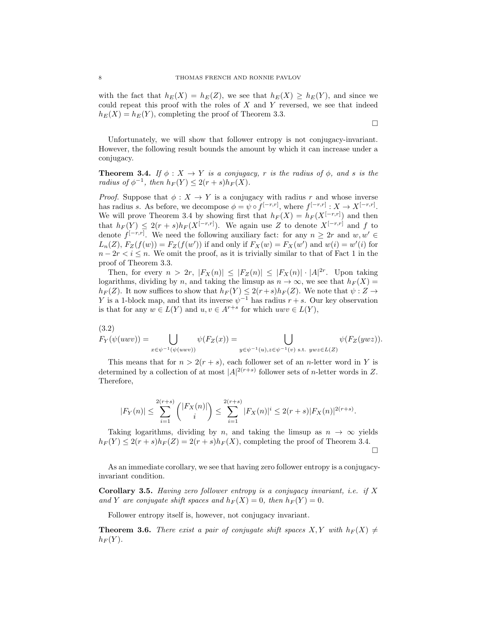with the fact that  $h_E(X) = h_E(Z)$ , we see that  $h_E(X) \geq h_E(Y)$ , and since we could repeat this proof with the roles of  $X$  and  $Y$  reversed, we see that indeed  $h_E(X) = h_E(Y)$ , completing the proof of Theorem 3.3.

 $\Box$ 

Unfortunately, we will show that follower entropy is not conjugacy-invariant. However, the following result bounds the amount by which it can increase under a conjugacy.

**Theorem 3.4.** If  $\phi: X \to Y$  is a conjugacy, r is the radius of  $\phi$ , and s is the radius of  $\phi^{-1}$ , then  $h_F(Y) \leq 2(r+s)h_F(X)$ .

*Proof.* Suppose that  $\phi: X \to Y$  is a conjugacy with radius r and whose inverse has radius s. As before, we decompose  $\phi = \psi \circ f^{[-r,r]}$ , where  $f^{[-r,r]}: X \to X^{[-r,r]}$ . We will prove Theorem 3.4 by showing first that  $h_F(X) = h_F(X^{[-r,r]})$  and then that  $h_F(Y) \leq 2(r+s)h_F(X^{[-r,r]})$ . We again use Z to denote  $X^{[-r,r]}$  and f to denote  $f^{[-r,r]}$ . We need the following auxiliary fact: for any  $n \geq 2r$  and  $w, w' \in$  $L_n(Z)$ ,  $F_Z(f(w)) = F_Z(f(w'))$  if and only if  $F_X(w) = F_X(w')$  and  $w(i) = w'(i)$  for  $n - 2r < i \leq n$ . We omit the proof, as it is trivially similar to that of Fact 1 in the proof of Theorem 3.3.

Then, for every  $n > 2r$ ,  $|F_X(n)| \leq |F_Z(n)| \leq |F_X(n)| \cdot |A|^{2r}$ . Upon taking logarithms, dividing by n, and taking the limsup as  $n \to \infty$ , we see that  $h_F(X) =$  $h_F(Z)$ . It now suffices to show that  $h_F(Y) \leq 2(r+s)h_F(Z)$ . We note that  $\psi: Z \to$ Y is a 1-block map, and that its inverse  $\psi^{-1}$  has radius  $r + s$ . Our key observation is that for any  $w \in L(Y)$  and  $u, v \in A^{r+s}$  for which  $uwv \in L(Y)$ ,

$$
(3.2) \quad F_Y(\psi(uwv)) = \bigcup_{x \in \psi^{-1}(\psi(uwv))} \psi(F_Z(x)) = \bigcup_{y \in \psi^{-1}(u), z \in \psi^{-1}(v) \text{ s.t. } ywz \in L(Z)} \psi(F_Z(ywz)).
$$

This means that for  $n > 2(r + s)$ , each follower set of an *n*-letter word in Y is determined by a collection of at most  $|A|^{2(r+s)}$  follower sets of *n*-letter words in Z. Therefore,

$$
|F_Y(n)| \le \sum_{i=1}^{2(r+s)} \binom{|F_X(n)|}{i} \le \sum_{i=1}^{2(r+s)} |F_X(n)|^i \le 2(r+s)|F_X(n)|^{2(r+s)}.
$$

Taking logarithms, dividing by n, and taking the limsup as  $n \to \infty$  yields  $h_F(Y) \leq 2(r+s)h_F(Z) = 2(r+s)h_F(X)$ , completing the proof of Theorem 3.4.  $\Box$ 

As an immediate corollary, we see that having zero follower entropy is a conjugacyinvariant condition.

Corollary 3.5. Having zero follower entropy is a conjugacy invariant, i.e. if X and Y are conjugate shift spaces and  $h_F(X) = 0$ , then  $h_F(Y) = 0$ .

Follower entropy itself is, however, not conjugacy invariant.

**Theorem 3.6.** There exist a pair of conjugate shift spaces  $X, Y$  with  $h_F(X) \neq$  $h_F(Y)$ .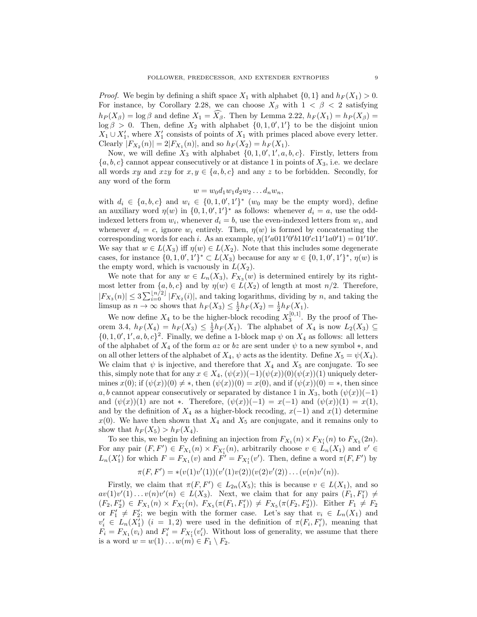*Proof.* We begin by defining a shift space  $X_1$  with alphabet  $\{0,1\}$  and  $h_F(X_1) > 0$ . For instance, by Corollary 2.28, we can choose  $X_\beta$  with  $1 < \beta < 2$  satisfying  $h_P (X_\beta) = \log \beta$  and define  $X_1 = \widehat{X_\beta}$ . Then by Lemma 2.22,  $h_F (X_1) = h_P (X_\beta) =$  $\log \beta > 0$ . Then, define  $X_2$  with alphabet  $\{0, 1, 0', 1'\}$  to be the disjoint union  $X_1 \cup X'_1$ , where  $X'_1$  consists of points of  $X_1$  with primes placed above every letter. Clearly  $|F_{X_2}(n)| = 2|F_{X_1}(n)|$ , and so  $h_F(X_2) = h_F(X_1)$ .

Now, we will define  $X_3$  with alphabet  $\{0, 1, 0', 1', a, b, c\}$ . Firstly, letters from  ${a, b, c}$  cannot appear consecutively or at distance 1 in points of  $X_3$ , i.e. we declare all words xy and xzy for  $x, y \in \{a, b, c\}$  and any z to be forbidden. Secondly, for any word of the form

$$
w = w_0 d_1 w_1 d_2 w_2 \dots d_n w_n,
$$

with  $d_i \in \{a, b, c\}$  and  $w_i \in \{0, 1, 0', 1'\}^*$  ( $w_0$  may be the empty word), define an auxiliary word  $\eta(w)$  in  $\{0, 1, 0', 1'\}^*$  as follows: whenever  $d_i = a$ , use the oddindexed letters from  $w_i$ , whenever  $d_i = b$ , use the even-indexed letters from  $w_i$ , and whenever  $d_i = c$ , ignore  $w_i$  entirely. Then,  $\eta(w)$  is formed by concatenating the corresponding words for each *i*. As an example,  $\eta(1'a011'0'b110'c11'1a0'1) = 01'10'$ . We say that  $w \in L(X_3)$  iff  $\eta(w) \in L(X_2)$ . Note that this includes some degenerate cases, for instance  $\{0, 1, 0', 1'\}^* \subset L(X_3)$  because for any  $w \in \{0, 1, 0', 1'\}^*$ ,  $\eta(w)$  is the empty word, which is vacuously in  $L(X_2)$ .

We note that for any  $w \in L_n(X_3)$ ,  $F_{X_3}(w)$  is determined entirely by its rightmost letter from  $\{a, b, c\}$  and by  $\eta(w) \in L(X_2)$  of length at most  $n/2$ . Therefore,  $|F_{X_3}(n)| \leq 3 \sum_{i=0}^{\lfloor n/2 \rfloor} |F_{X_2}(i)|$ , and taking logarithms, dividing by n, and taking the limsup as  $n \to \infty$  shows that  $h_F(X_3) \leq \frac{1}{2} h_F(X_2) = \frac{1}{2} h_F(X_1)$ .

We now define  $X_4$  to be the higher-block recoding  $X_3^{[0,1]}$ . By the proof of Theorem 3.4,  $h_F(X_4) = h_F(X_3) \leq \frac{1}{2} h_F(X_1)$ . The alphabet of  $X_4$  is now  $L_2(X_3) \subseteq$  $\{0, 1, 0', 1', a, b, c\}^2$ . Finally, we define a 1-block map  $\psi$  on  $X_4$  as follows: all letters of the alphabet of  $X_4$  of the form az or bz are sent under  $\psi$  to a new symbol  $*$ , and on all other letters of the alphabet of  $X_4$ ,  $\psi$  acts as the identity. Define  $X_5 = \psi(X_4)$ . We claim that  $\psi$  is injective, and therefore that  $X_4$  and  $X_5$  are conjugate. To see this, simply note that for any  $x \in X_4$ ,  $(\psi(x))(-1)(\psi(x))(0)(\psi(x))(1)$  uniquely determines  $x(0)$ ; if  $(\psi(x))(0) \neq *$ , then  $(\psi(x))(0) = x(0)$ , and if  $(\psi(x))(0) = *$ , then since a, b cannot appear consecutively or separated by distance 1 in  $X_3$ , both  $(\psi(x))(-1)$ and  $(\psi(x))(1)$  are not \*. Therefore,  $(\psi(x))(-1) = x(-1)$  and  $(\psi(x))(1) = x(1)$ , and by the definition of  $X_4$  as a higher-block recoding,  $x(-1)$  and  $x(1)$  determine  $x(0)$ . We have then shown that  $X_4$  and  $X_5$  are conjugate, and it remains only to show that  $h_F(X_5) > h_F(X_4)$ .

To see this, we begin by defining an injection from  $F_{X_1}(n) \times F_{X'_1}(n)$  to  $F_{X_5}(2n)$ . For any pair  $(F, F') \in F_{X_1}(n) \times F_{X_1'}(n)$ , arbitrarily choose  $v \in \hat{L}_n(X_1)$  and  $v' \in$  $L_n(X'_1)$  for which  $F = F_{X_1}(v)$  and  $\overrightarrow{F'} = F_{X'_1}(v')$ . Then, define a word  $\pi(F, F')$  by

$$
\pi(F, F') = * (v(1)v'(1))(v'(1)v(2))(v(2)v'(2))\dots(v(n)v'(n)).
$$

Firstly, we claim that  $\pi(F, F') \in L_{2n}(X_5)$ ; this is because  $v \in L(X_1)$ , and so  $av(1)v'(1)...v(n)v'(n) \in L(X_3)$ . Next, we claim that for any pairs  $(F_1, F'_1) \neq$  $(F_2, F_2') \in F_{X_1}(n) \times F_{X_1'}(n)$ ,  $F_{X_5}(\pi(F_1, F_1')) \neq F_{X_5}(\pi(F_2, F_2'))$ . Either  $F_1 \neq F_2$ or  $F'_1 \neq F'_2$ ; we begin with the former case. Let's say that  $v_i \in L_n(X_1)$  and  $v'_i \in L_n(X'_1)$   $(i = 1, 2)$  were used in the definition of  $\pi(F_i, F'_i)$ , meaning that  $F_i = F_{X_1}(v_i)$  and  $F'_i = F_{X'_1}(v'_i)$ . Without loss of generality, we assume that there is a word  $w = w(1) \dots w(m) \in F_1 \setminus F_2$ .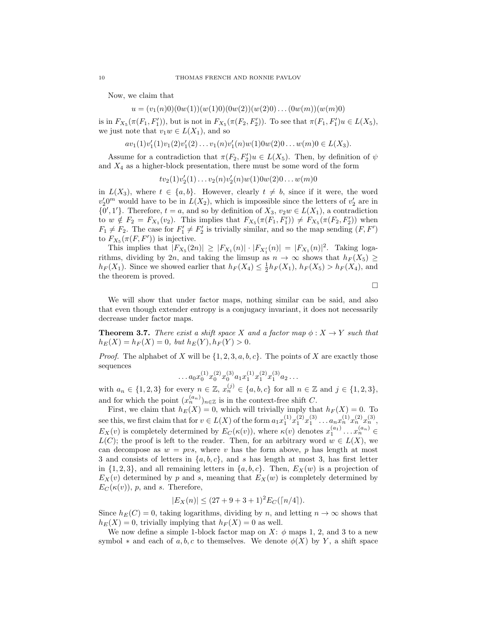Now, we claim that

 $u = (v_1(n)0)(0w(1))(w(1)0)(0w(2))(w(2)0)...(0w(m))(w(m)0)$ 

is in  $F_{X_5}(\pi(F_1, F_1'))$ , but is not in  $F_{X_5}(\pi(F_2, F_2'))$ . To see that  $\pi(F_1, F_1')u \in L(X_5)$ , we just note that  $v_1w \in L(X_1)$ , and so

 $av_1(1)v'_1(1)v_1(2)v'_1(2)...v_1(n)v'_1(n)w(1)0w(2)0...w(m)0 \in L(X_3).$ 

Assume for a contradiction that  $\pi(F_2, F_2')u \in L(X_5)$ . Then, by definition of  $\psi$ and  $X_4$  as a higher-block presentation, there must be some word of the form

 $tv_2(1)v'_2(1)... v_2(n)v'_2(n)w(1)0w(2)0...w(m)0$ 

in  $L(X_3)$ , where  $t \in \{a, b\}$ . However, clearly  $t \neq b$ , since if it were, the word  $v_2' 0^m$  would have to be in  $L(X_2)$ , which is impossible since the letters of  $v_2'$  are in  $\{0',1'\}$ . Therefore,  $t = a$ , and so by definition of  $X_3, v_2w \in L(X_1)$ , a contradiction to  $w \notin F_2 = F_{X_1}(v_2)$ . This implies that  $F_{X_5}(\pi(F_1, F_1')) \neq F_{X_5}(\pi(F_2, F_2'))$  when  $F_1 \neq F_2$ . The case for  $F_1' \neq F_2'$  is trivially similar, and so the map sending  $(F, F')$ to  $F_{X_5}(\pi(F, F'))$  is injective.

This implies that  $|F_{X_5}(2n)| \geq |F_{X_1}(n)| \cdot |F_{X'_1}(n)| = |F_{X_1}(n)|^2$ . Taking logarithms, dividing by 2n, and taking the limsup as  $n \to \infty$  shows that  $h_F(X_5) \ge$  $h_F(X_1)$ . Since we showed earlier that  $h_F(X_4) \leq \frac{1}{2} h_F(X_1)$ ,  $h_F(X_5) > h_F(X_4)$ , and the theorem is proved.

 $\Box$ 

We will show that under factor maps, nothing similar can be said, and also that even though extender entropy is a conjugacy invariant, it does not necessarily decrease under factor maps.

**Theorem 3.7.** There exist a shift space X and a factor map  $\phi: X \to Y$  such that  $h_E(X) = h_F(X) = 0$ , but  $h_E(Y)$ ,  $h_F(Y) > 0$ .

*Proof.* The alphabet of X will be  $\{1, 2, 3, a, b, c\}$ . The points of X are exactly those sequences

$$
\dots a_0 x_0^{(1)} x_0^{(2)} x_0^{(3)} a_1 x_1^{(1)} x_1^{(2)} x_1^{(3)} a_2 \dots
$$

with  $a_n \in \{1,2,3\}$  for every  $n \in \mathbb{Z}$ ,  $x_n^{(j)} \in \{a,b,c\}$  for all  $n \in \mathbb{Z}$  and  $j \in \{1,2,3\}$ , and for which the point  $(x_n^{(a_n)})_{n\in\mathbb{Z}}$  is in the context-free shift C.

First, we claim that  $h_E(X) = 0$ , which will trivially imply that  $h_F(X) = 0$ . To see this, we first claim that for  $v \in L(X)$  of the form  $a_1 x_1^{(1)} x_1^{(2)} x_1^{(3)} \dots a_n x_n^{(1)} x_n^{(2)} x_n^{(3)}$ ,  $E_X(v)$  is completely determined by  $E_C(\kappa(v))$ , where  $\kappa(v)$  denotes  $x_1^{(a_1)} \dots x_n^{(a_n)} \in$  $L(C)$ ; the proof is left to the reader. Then, for an arbitrary word  $w \in L(X)$ , we can decompose as  $w = pvs$ , where v has the form above, p has length at most 3 and consists of letters in  $\{a, b, c\}$ , and s has length at most 3, has first letter in  $\{1, 2, 3\}$ , and all remaining letters in  $\{a, b, c\}$ . Then,  $E_X(w)$  is a projection of  $E_X(v)$  determined by p and s, meaning that  $E_X(w)$  is completely determined by  $E_C(\kappa(v))$ , p, and s. Therefore,

$$
|E_X(n)| \le (27 + 9 + 3 + 1)^2 E_C(\lceil n/4 \rceil).
$$

Since  $h_E(C) = 0$ , taking logarithms, dividing by n, and letting  $n \to \infty$  shows that  $h_E(X) = 0$ , trivially implying that  $h_F(X) = 0$  as well.

We now define a simple 1-block factor map on  $X: \phi$  maps 1, 2, and 3 to a new symbol  $*$  and each of a, b, c to themselves. We denote  $\phi(X)$  by Y, a shift space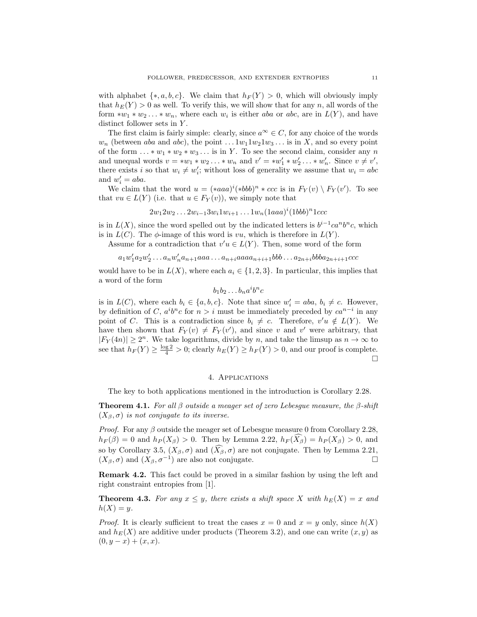with alphabet  $\{*, a, b, c\}$ . We claim that  $h_F(Y) > 0$ , which will obviously imply that  $h_E(Y) > 0$  as well. To verify this, we will show that for any n, all words of the form  $*w_1 * w_2 ... * w_n$ , where each  $w_i$  is either aba or abc, are in  $L(Y)$ , and have distinct follower sets in Y.

The first claim is fairly simple: clearly, since  $a^{\infty} \in C$ , for any choice of the words  $w_n$  (between aba and abc), the point  $\dots w_1 w_2 w_3 \dots$  is in X, and so every point of the form  $\dots * w_1 * w_2 * w_3 \dots$  is in Y. To see the second claim, consider any n and unequal words  $v = *w_1 * w_2 ... * w_n$  and  $v' = *w'_1 * w'_2 ... * w'_n$ . Since  $v \neq v'$ , there exists i so that  $w_i \neq w'_i$ ; without loss of generality we assume that  $w_i = abc$ and  $w'_i = aba$ .

We claim that the word  $u = (*aaa)^i(*bbb)^n * ccc$  is in  $F_Y(v) \setminus F_Y(v')$ . To see that  $vu \in L(Y)$  (i.e. that  $u \in F_Y(v)$ ), we simply note that

$$
2w_1 2w_2 \ldots 2w_{i-1} 3w_i 1w_{i+1} \ldots 1w_n (1aaa)^i (1bbb)^n 1ccc
$$

is in  $L(X)$ , since the word spelled out by the indicated letters is  $b^{i-1}ca^n b^n c$ , which is in  $L(C)$ . The  $\phi$ -image of this word is vu, which is therefore in  $L(Y)$ .

Assume for a contradiction that  $v'u \in L(Y)$ . Then, some word of the form

$$
a_1w_1'a_2w_2' \ldots a_nw_n'a_{n+1}aaa \ldots a_{n+i}aaa a_{n+i+1}bbb \ldots a_{2n+i}bbb a_{2n+i+1}ccc
$$

would have to be in  $L(X)$ , where each  $a_i \in \{1, 2, 3\}$ . In particular, this implies that a word of the form

 $b_1b_2 \ldots b_na^ib^nc$ 

is in  $L(C)$ , where each  $b_i \in \{a, b, c\}$ . Note that since  $w'_i = aba, b_i \neq c$ . However, by definition of C,  $a^i b^n c$  for  $n > i$  must be immediately preceded by  $ca^{n-i}$  in any point of C. This is a contradiction since  $b_i \neq c$ . Therefore,  $v'u \notin L(Y)$ . We have then shown that  $F_Y(v) \neq F_Y(v')$ , and since v and v' were arbitrary, that  $|F_Y(4n)| \ge 2^n$ . We take logarithms, divide by n, and take the limsup as  $n \to \infty$  to see that  $h_F(Y) \ge \frac{\log 2}{4} > 0$ ; clearly  $h_E(Y) \ge h_F(Y) > 0$ , and our proof is complete.  $\Box$ 

## 4. Applications

The key to both applications mentioned in the introduction is Corollary 2.28.

**Theorem 4.1.** For all  $\beta$  outside a meager set of zero Lebesgue measure, the  $\beta$ -shift  $(X_\beta, \sigma)$  is not conjugate to its inverse.

*Proof.* For any  $\beta$  outside the meager set of Lebesgue measure 0 from Corollary 2.28,  $h_F(\beta) = 0$  and  $h_P(X_\beta) > 0$ . Then by Lemma 2.22,  $h_F(X_\beta) = h_P(X_\beta) > 0$ , and so by Corollary 3.5,  $(X_{\beta}, \sigma)$  and  $(\widehat{X}_{\beta}, \sigma)$  are not conjugate. Then by Lemma 2.21,  $(X_{\beta}, \sigma)$  and  $(X_{\beta}, \sigma^{-1})$  are also not conjugate.  $(X_{\beta}, \sigma)$  and  $(X_{\beta}, \sigma^{-1})$  are also not conjugate.

Remark 4.2. This fact could be proved in a similar fashion by using the left and right constraint entropies from [1].

**Theorem 4.3.** For any  $x \leq y$ , there exists a shift space X with  $h_E(X) = x$  and  $h(X) = y$ .

*Proof.* It is clearly sufficient to treat the cases  $x = 0$  and  $x = y$  only, since  $h(X)$ and  $h_E(X)$  are additive under products (Theorem 3.2), and one can write  $(x, y)$  as  $(0, y - x) + (x, x).$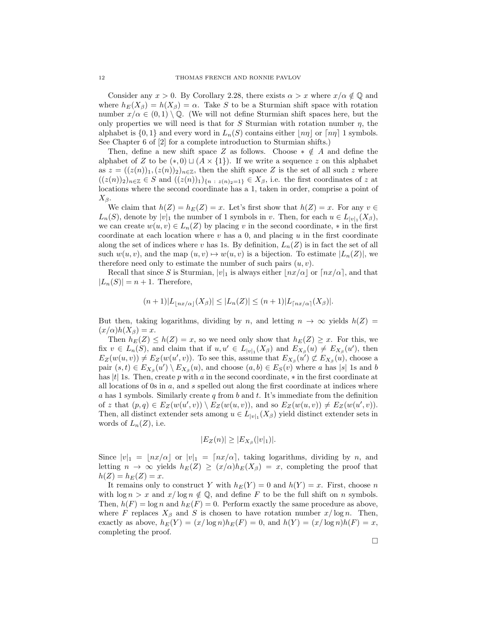Consider any  $x > 0$ . By Corollary 2.28, there exists  $\alpha > x$  where  $x/\alpha \notin \mathbb{Q}$  and where  $h_E(X_\beta) = h(X_\beta) = \alpha$ . Take S to be a Sturmian shift space with rotation number  $x/\alpha \in (0,1) \setminus \mathbb{Q}$ . (We will not define Sturmian shift spaces here, but the only properties we will need is that for S Sturmian with rotation number  $\eta$ , the alphabet is  $\{0,1\}$  and every word in  $L_n(S)$  contains either  $\lfloor n\eta \rfloor$  or  $\lfloor n\eta \rfloor$  1 symbols. See Chapter 6 of [2] for a complete introduction to Sturmian shifts.)

Then, define a new shift space Z as follows. Choose  $* \notin A$  and define the alphabet of Z to be  $(*,0) \sqcup (A \times \{1\})$ . If we write a sequence z on this alphabet as  $z = ((z(n))_1, (z(n))_2)_{n \in \mathbb{Z}}$ , then the shift space Z is the set of all such z where  $((z(n))_2)_{n\in\mathbb{Z}}\in S$  and  $((z(n))_1)_{\{n\;:\;z(n)_2=1\}}\in X_\beta$ , i.e. the first coordinates of z at locations where the second coordinate has a 1, taken in order, comprise a point of  $X_{\beta}$ .

We claim that  $h(Z) = h_E(Z) = x$ . Let's first show that  $h(Z) = x$ . For any  $v \in$  $L_n(S)$ , denote by  $|v|_1$  the number of 1 symbols in v. Then, for each  $u \in L_{|v|_1}(X_\beta)$ , we can create  $w(u, v) \in L_n(Z)$  by placing v in the second coordinate,  $*$  in the first coordinate at each location where  $v$  has a 0, and placing  $u$  in the first coordinate along the set of indices where v has 1s. By definition,  $L_n(Z)$  is in fact the set of all such  $w(u, v)$ , and the map  $(u, v) \mapsto w(u, v)$  is a bijection. To estimate  $|L_n(Z)|$ , we therefore need only to estimate the number of such pairs  $(u, v)$ .

Recall that since S is Sturmian,  $|v|_1$  is always either  $|nx/\alpha|$  or  $\lceil nx/\alpha \rceil$ , and that  $|L_n(S)| = n + 1$ . Therefore,

$$
(n+1)|L_{\lfloor nx/\alpha\rfloor}(X_{\beta})| \leq |L_n(Z)| \leq (n+1)|L_{\lceil nx/\alpha\rceil}(X_{\beta})|.
$$

But then, taking logarithms, dividing by n, and letting  $n \to \infty$  yields  $h(Z) =$  $(x/\alpha)h(X_\beta)=x.$ 

Then  $h_E(Z) \leq h(Z) = x$ , so we need only show that  $h_E(Z) \geq x$ . For this, we fix  $v \in L_n(S)$ , and claim that if  $u, u' \in L_{|v|_1}(X_\beta)$  and  $E_{X_\beta}(u) \neq E_{X_\beta}(u')$ , then  $E_Z(w(u, v)) \neq E_Z(w(u', v))$ . To see this, assume that  $E_{X_\beta}(u') \not\subset E_{X_\beta}(u)$ , choose a pair  $(s,t) \in E_{X_{\beta}}(u') \setminus E_{X_{\beta}}(u)$ , and choose  $(a,b) \in E_{S}(v)$  where a has |s| 1s and b has  $|t|$  1s. Then, create p with a in the second coordinate,  $*$  in the first coordinate at all locations of 0s in  $a$ , and  $s$  spelled out along the first coordinate at indices where a has 1 symbols. Similarly create  $q$  from b and t. It's immediate from the definition of z that  $(p,q) \in E_Z(w(u',v)) \setminus E_Z(w(u,v))$ , and so  $E_Z(w(u,v)) \neq E_Z(w(u',v))$ . Then, all distinct extender sets among  $u \in L_{|v|_1}(X_\beta)$  yield distinct extender sets in words of  $L_n(Z)$ , i.e.

$$
|E_Z(n)| \geq |E_{X_\beta}(|v|_1)|.
$$

Since  $|v|_1 = |nx/\alpha|$  or  $|v|_1 = \lfloor nx/\alpha \rfloor$ , taking logarithms, dividing by n, and letting  $n \to \infty$  yields  $h_E(Z) \ge (x/\alpha)h_E(X_\beta) = x$ , completing the proof that  $h(Z) = h_E(Z) = x.$ 

It remains only to construct Y with  $h_E(Y) = 0$  and  $h(Y) = x$ . First, choose n with  $\log n > x$  and  $x/\log n \notin \mathbb{Q}$ , and define F to be the full shift on n symbols. Then,  $h(F) = \log n$  and  $h_E(F) = 0$ . Perform exactly the same procedure as above, where F replaces  $X_\beta$  and S is chosen to have rotation number  $x/\log n$ . Then, exactly as above,  $h_E(Y) = (x/\log n)h_E(F) = 0$ , and  $h(Y) = (x/\log n)h(F) = x$ , completing the proof.